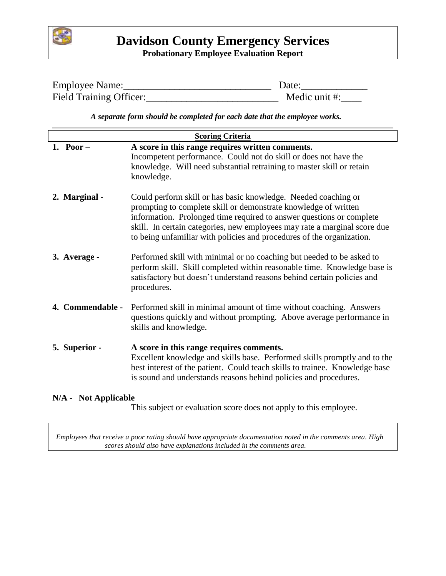

# **Davidson County Emergency Services Probationary Employee Evaluation Report**

| Employee Name:          | Date:         |
|-------------------------|---------------|
| Field Training Officer: | Medic unit #: |

 *A separate form should be completed for each date that the employee works.*

| <b>Scoring Criteria</b> |                                                                                                                                                                                                                                                                                                                                                                 |  |  |  |  |
|-------------------------|-----------------------------------------------------------------------------------------------------------------------------------------------------------------------------------------------------------------------------------------------------------------------------------------------------------------------------------------------------------------|--|--|--|--|
| 1. Poor $-$             | A score in this range requires written comments.<br>Incompetent performance. Could not do skill or does not have the<br>knowledge. Will need substantial retraining to master skill or retain<br>knowledge.                                                                                                                                                     |  |  |  |  |
| 2. Marginal -           | Could perform skill or has basic knowledge. Needed coaching or<br>prompting to complete skill or demonstrate knowledge of written<br>information. Prolonged time required to answer questions or complete<br>skill. In certain categories, new employees may rate a marginal score due<br>to being unfamiliar with policies and procedures of the organization. |  |  |  |  |
| 3. Average -            | Performed skill with minimal or no coaching but needed to be asked to<br>perform skill. Skill completed within reasonable time. Knowledge base is<br>satisfactory but doesn't understand reasons behind certain policies and<br>procedures.                                                                                                                     |  |  |  |  |
| 4. Commendable -        | Performed skill in minimal amount of time without coaching. Answers<br>questions quickly and without prompting. Above average performance in<br>skills and knowledge.                                                                                                                                                                                           |  |  |  |  |
| 5. Superior -           | A score in this range requires comments.<br>Excellent knowledge and skills base. Performed skills promptly and to the<br>best interest of the patient. Could teach skills to trainee. Knowledge base<br>is sound and understands reasons behind policies and procedures.                                                                                        |  |  |  |  |

#### **N/A - Not Applicable**

This subject or evaluation score does not apply to this employee.

 *Employees that receive a poor rating should have appropriate documentation noted in the comments area. High scores should also have explanations included in the comments area.*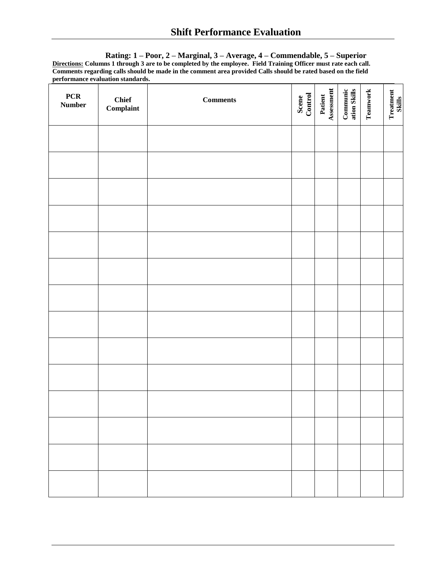**Rating: 1 – Poor, 2 – Marginal, 3 – Average, 4 – Commendable, 5 – Superior Directions: Columns 1 through 3 are to be completed by the employee. Field Training Officer must rate each call. Comments regarding calls should be made in the comment area provided Calls should be rated based on the field performance evaluation standards.**

| PCR<br>$\bf Number$ | <b>Chief</b><br>$\label{eq:complaint} \textbf{Complaint}$ | $Comments$ | Scene<br>Control | Patient<br>Assessment | Communic<br>ation Skills | Teamwork | Treatment<br>Skills |
|---------------------|-----------------------------------------------------------|------------|------------------|-----------------------|--------------------------|----------|---------------------|
|                     |                                                           |            |                  |                       |                          |          |                     |
|                     |                                                           |            |                  |                       |                          |          |                     |
|                     |                                                           |            |                  |                       |                          |          |                     |
|                     |                                                           |            |                  |                       |                          |          |                     |
|                     |                                                           |            |                  |                       |                          |          |                     |
|                     |                                                           |            |                  |                       |                          |          |                     |
|                     |                                                           |            |                  |                       |                          |          |                     |
|                     |                                                           |            |                  |                       |                          |          |                     |
|                     |                                                           |            |                  |                       |                          |          |                     |
|                     |                                                           |            |                  |                       |                          |          |                     |
|                     |                                                           |            |                  |                       |                          |          |                     |
|                     |                                                           |            |                  |                       |                          |          |                     |
|                     |                                                           |            |                  |                       |                          |          |                     |
|                     |                                                           |            |                  |                       |                          |          |                     |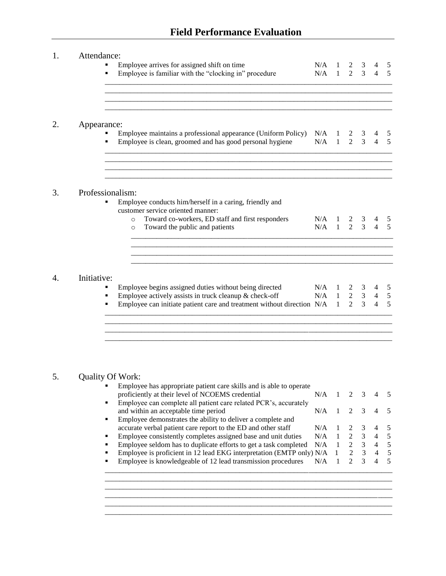| 1.                    | Attendance:      |                                                                                                                                  |                                     |              |                     |                |                                  |                              |
|-----------------------|------------------|----------------------------------------------------------------------------------------------------------------------------------|-------------------------------------|--------------|---------------------|----------------|----------------------------------|------------------------------|
|                       | ٠                | Employee arrives for assigned shift on time                                                                                      | N/A                                 |              | 2                   | 3              |                                  | 5                            |
|                       | ٠                | Employee is familiar with the "clocking in" procedure                                                                            | N/A                                 | $\mathbf{1}$ | $2^{\circ}$         | $\overline{3}$ | $\Delta$                         | 5                            |
| 2.                    | Appearance:      | Employee maintains a professional appearance (Uniform Policy)<br>Employee is clean, groomed and has good personal hygiene        | $N/A$ 1 2 3<br>$N/A$ 1              |              | $\overline{2}$      | $\overline{3}$ | $\overline{4}$                   | 5<br>5                       |
| 3.                    | Professionalism: | Employee conducts him/herself in a caring, friendly and<br>customer service oriented manner:                                     |                                     |              |                     |                |                                  |                              |
|                       |                  | Toward co-workers, ED staff and first responders<br>$\circ$<br>Toward the public and patients<br>$\circ$                         | $N/A$ 1 2 3<br>N/A                  |              | $1 \quad 2 \quad 3$ |                | $\overline{4}$                   | 5<br>$\overline{5}$          |
|                       |                  |                                                                                                                                  |                                     |              |                     |                |                                  |                              |
| $\mathcal{A}_{\cdot}$ | Initiative:      |                                                                                                                                  |                                     |              |                     |                |                                  |                              |
|                       |                  | Employee begins assigned duties without being directed                                                                           |                                     |              |                     |                | $\overline{4}$                   | 5                            |
|                       | ٠<br>٠           | Employee actively assists in truck cleanup & check-off<br>Employee can initiate patient care and treatment without direction N/A | N/A 1 2 3<br>N/A 1 2 3<br>N/A 1 2 3 |              |                     |                | $\overline{4}$<br>$\overline{4}$ | $\sqrt{5}$<br>$\overline{5}$ |
|                       |                  |                                                                                                                                  |                                     |              |                     |                |                                  |                              |

## 5. Quality Of Work:

| ▪ | Employee has appropriate patient care skills and is able to operate    |     |              |                             |                |                |                          |
|---|------------------------------------------------------------------------|-----|--------------|-----------------------------|----------------|----------------|--------------------------|
|   | proficiently at their level of NCOEMS credential                       | N/A |              | $2 \sqrt{3}$                |                |                |                          |
|   | Employee can complete all patient care related PCR's, accurately       |     |              |                             |                |                |                          |
|   | and within an acceptable time period                                   | N/A |              | $\mathcal{D}_{\mathcal{L}}$ | $\mathcal{R}$  |                |                          |
|   | Employee demonstrates the ability to deliver a complete and            |     |              |                             |                |                |                          |
|   | accurate verbal patient care report to the ED and other staff          | N/A |              | 2                           | $\mathcal{E}$  |                |                          |
| ▪ | Employee consistently completes assigned base and unit duties          | N/A | $\mathbf{1}$ |                             | $2 \quad 3$    | 4              |                          |
| ▪ | Employee seldom has to duplicate efforts to get a task completed       | N/A |              | $2 \sqrt{3}$                |                | 4              | $\overline{\mathcal{L}}$ |
|   | Employee is proficient in 12 lead EKG interpretation (EMTP only) N/A 1 |     |              | 2                           | $\overline{3}$ | $\overline{4}$ | $\overline{5}$           |
|   | Employee is knowledgeable of 12 lead transmission procedures           | N/A |              |                             | $2^{3}$        | 4              | 5                        |
|   |                                                                        |     |              |                             |                |                |                          |
|   |                                                                        |     |              |                             |                |                |                          |
|   |                                                                        |     |              |                             |                |                |                          |
|   |                                                                        |     |              |                             |                |                |                          |
|   |                                                                        |     |              |                             |                |                |                          |

\_\_\_\_\_\_\_\_\_\_\_\_\_\_\_\_\_\_\_\_\_\_\_\_\_\_\_\_\_\_\_\_\_\_\_\_\_\_\_\_\_\_\_\_\_\_\_\_\_\_\_\_\_\_\_\_\_\_\_\_\_\_\_\_\_\_\_\_\_\_\_\_\_\_\_\_\_\_\_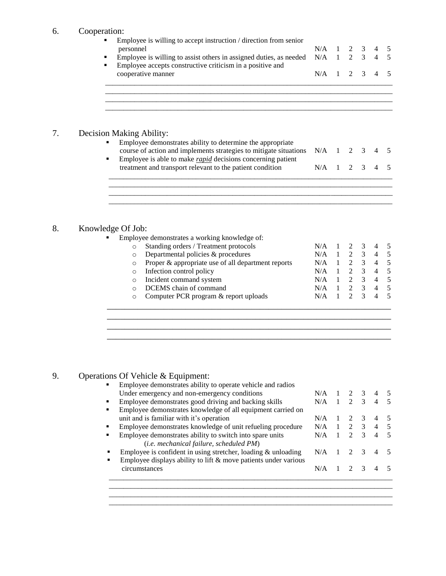### 6. Cooperation:

| v. | $\omega$ operation.<br>Employee is willing to accept instruction / direction from senior<br>personnel<br>Employee is willing to assist others in assigned duties, as needed                                |     | 1<br>N/A<br>$\mathbf{1}$ | 2<br>$\overline{2}$    | 3<br>$\overline{3}$ | $\overline{4}$ | 5<br>5         |
|----|------------------------------------------------------------------------------------------------------------------------------------------------------------------------------------------------------------|-----|--------------------------|------------------------|---------------------|----------------|----------------|
|    | Employee accepts constructive criticism in a positive and<br>cooperative manner                                                                                                                            | N/A | 1                        | 2                      | 3                   | 4              | 5              |
|    |                                                                                                                                                                                                            |     |                          |                        |                     |                |                |
| 7. | Decision Making Ability:                                                                                                                                                                                   |     |                          |                        |                     |                |                |
|    | Employee demonstrates ability to determine the appropriate<br>course of action and implements strategies to mitigate situations<br>Employee is able to make <i>rapid</i> decisions concerning patient<br>٠ | N/A | $\mathbf{1}$             | 2                      | 3                   |                |                |
|    | treatment and transport relevant to the patient condition                                                                                                                                                  | N/A | 1                        | 2                      | 3                   | 4              | 5              |
|    |                                                                                                                                                                                                            |     |                          |                        |                     |                |                |
| 8. | Knowledge Of Job:                                                                                                                                                                                          |     |                          |                        |                     |                |                |
|    | Employee demonstrates a working knowledge of:                                                                                                                                                              |     |                          |                        |                     |                |                |
|    | Standing orders / Treatment protocols<br>$\circ$                                                                                                                                                           | N/A | 1                        | 2                      | 3                   | $\overline{4}$ | 5              |
|    | Departmental policies & procedures<br>$\circ$                                                                                                                                                              | N/A | $\mathbf{1}$             | $\overline{2}$         | $\mathfrak{Z}$      | $\overline{4}$ | $\sqrt{5}$     |
|    | Proper & appropriate use of all department reports<br>$\circ$                                                                                                                                              | N/A | $\mathbf{1}$             | $\sqrt{2}$             | $\mathfrak{Z}$      | $\overline{4}$ | $\sqrt{5}$     |
|    | Infection control policy<br>$\circ$                                                                                                                                                                        | N/A | $\mathbf{1}$             | $\sqrt{2}$             | $\mathfrak{Z}$      | $\overline{4}$ | 5              |
|    | Incident command system<br>$\circ$                                                                                                                                                                         | N/A | $\mathbf{1}$             | $\overline{c}$         | $\overline{3}$      | $\overline{4}$ | $\overline{5}$ |
|    | DCEMS chain of command<br>$\circ$                                                                                                                                                                          | N/A | 1                        | $\overline{2}$         | $\overline{3}$      | $\overline{4}$ | $\overline{5}$ |
|    | Computer PCR program & report uploads<br>$\circ$                                                                                                                                                           | N/A | 1                        | $\mathcal{D}_{\alpha}$ | $\overline{3}$      | $\overline{4}$ | $\overline{5}$ |
|    |                                                                                                                                                                                                            |     |                          |                        |                     |                |                |
|    |                                                                                                                                                                                                            |     |                          |                        |                     |                |                |

## 9. Operations Of Vehicle & Equipment:

| Employee demonstrates ability to operate vehicle and radios        |     |                             |               |   |
|--------------------------------------------------------------------|-----|-----------------------------|---------------|---|
| Under emergency and non-emergency conditions                       | N/A | $\mathcal{L}$               | 3             |   |
| Employee demonstrates good driving and backing skills              | N/A | $\mathcal{D}_{\mathcal{L}}$ | $\mathcal{R}$ |   |
| Employee demonstrates knowledge of all equipment carried on        |     |                             |               |   |
| unit and is familiar with it's operation                           | N/A |                             | $\mathcal{R}$ |   |
| Employee demonstrates knowledge of unit refueling procedure        | N/A | $\mathcal{D}$               | $\mathcal{R}$ |   |
| Employee demonstrates ability to switch into spare units           | N/A | $\mathcal{D}$               | $\mathcal{R}$ | 4 |
| (i.e. mechanical failure, scheduled PM)                            |     |                             |               |   |
| Employee is confident in using stretcher, loading $\&$ unloading   | N/A |                             |               |   |
| Employee displays ability to lift $\&$ move patients under various |     |                             |               |   |
| circumstances                                                      | N/A |                             |               |   |

\_\_\_\_\_\_\_\_\_\_\_\_\_\_\_\_\_\_\_\_\_\_\_\_\_\_\_\_\_\_\_\_\_\_\_\_\_\_\_\_\_\_\_\_\_\_\_\_\_\_\_\_\_\_\_\_\_\_\_\_\_\_\_\_\_\_\_\_\_\_\_\_\_\_\_\_\_\_

\_\_\_\_\_\_\_\_\_\_\_\_\_\_\_\_\_\_\_\_\_\_\_\_\_\_\_\_\_\_\_\_\_\_\_\_\_\_\_\_\_\_\_\_\_\_\_\_\_\_\_\_\_\_\_\_\_\_\_\_\_\_\_\_\_